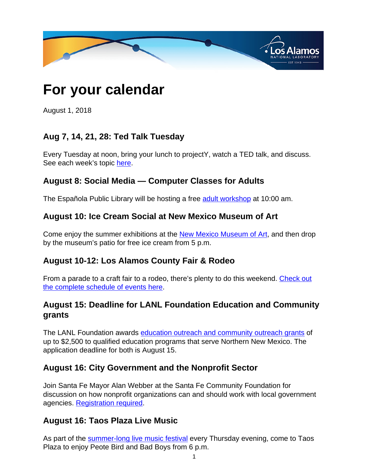

# **For your calendar**

August 1, 2018

# **Aug 7, 14, 21, 28: Ted Talk Tuesday**

Every Tuesday at noon, bring your lunch to projectY, watch a TED talk, and discuss. See each week's topic [here.](
					https://www.projectylosalamos.com/en/bookings)

## **August 8: Social Media — Computer Classes for Adults**

The Española Public Library will be hosting a free [adult workshop](
					http://www.cityofespanola.org/Calendar.aspx?EID=412&month=8&year=2018&day=25&calType=0) at 10:00 am.

#### **August 10: Ice Cream Social at New Mexico Museum of Art**

Come enjoy the summer exhibitions at the [New Mexico Museum of Art](
					http://nmartmuseum.org/visit/events/event-details/1808/2018/08/ice-cream-social), and then drop by the museum's patio for free ice cream from 5 p.m.

#### **August 10-12: Los Alamos County Fair & Rodeo**

From a parade to a craft fair to a rodeo, there's plenty to do this weekend. [Check out](
					http://losalamosmainstreet.com/events/fairandrodeo/) [the complete schedule of events here](
					http://losalamosmainstreet.com/events/fairandrodeo/).

# **August 15: Deadline for LANL Foundation Education and Community grants**

The LANL Foundation awards [education outreach and community outreach grants](
					https://lanlfoundation.org/education-community-grants?_ga=2.152778110.671913786.1532616897-774842471.1521567672) of up to \$2,500 to qualified education programs that serve Northern New Mexico. The application deadline for both is August 15.

#### **August 16: City Government and the Nonprofit Sector**

Join Santa Fe Mayor Alan Webber at the Santa Fe Community Foundation for discussion on how nonprofit organizations can and should work with local government agencies. [Registration required](
					https://www.santafecf.org/what-we-do/event-calendar?cgid=1&ceid=656&cerid=0&cdt=8%2f16%2f2018).

#### **August 16: Taos Plaza Live Music**

As part of the [summer-long live music festival](
					http://www.taoschamber.com/events/details/taos-plaza-live-07-26-2018-18141) every Thursday evening, come to Taos Plaza to enjoy Peote Bird and Bad Boys from 6 p.m.